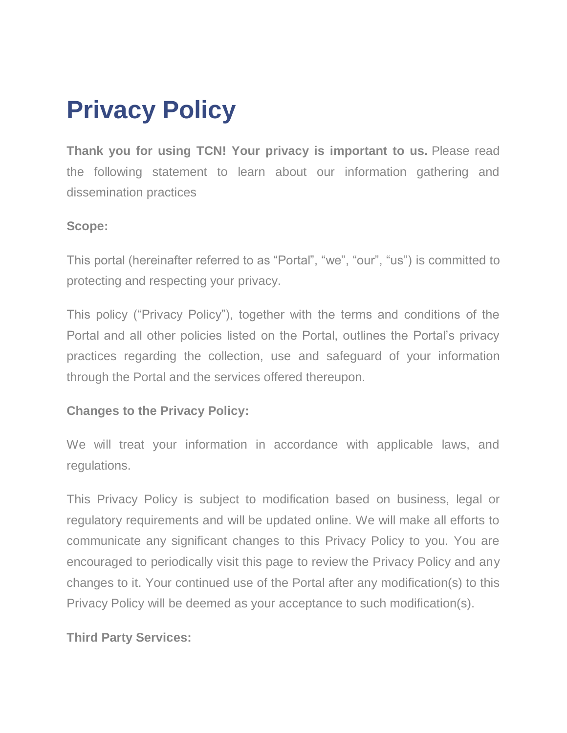# **Privacy Policy**

**Thank you for using TCN! Your privacy is important to us.** Please read the following statement to learn about our information gathering and dissemination practices

## **Scope:**

This portal (hereinafter referred to as "Portal", "we", "our", "us") is committed to protecting and respecting your privacy.

This policy ("Privacy Policy"), together with the terms and conditions of the Portal and all other policies listed on the Portal, outlines the Portal's privacy practices regarding the collection, use and safeguard of your information through the Portal and the services offered thereupon.

## **Changes to the Privacy Policy:**

We will treat your information in accordance with applicable laws, and regulations.

This Privacy Policy is subject to modification based on business, legal or regulatory requirements and will be updated online. We will make all efforts to communicate any significant changes to this Privacy Policy to you. You are encouraged to periodically visit this page to review the Privacy Policy and any changes to it. Your continued use of the Portal after any modification(s) to this Privacy Policy will be deemed as your acceptance to such modification(s).

# **Third Party Services:**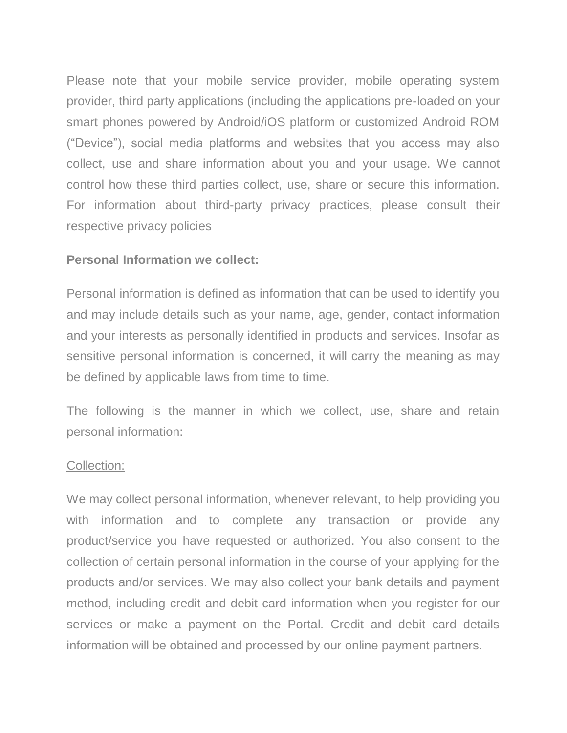Please note that your mobile service provider, mobile operating system provider, third party applications (including the applications pre-loaded on your smart phones powered by Android/iOS platform or customized Android ROM ("Device"), social media platforms and websites that you access may also collect, use and share information about you and your usage. We cannot control how these third parties collect, use, share or secure this information. For information about third-party privacy practices, please consult their respective privacy policies

#### **Personal Information we collect:**

Personal information is defined as information that can be used to identify you and may include details such as your name, age, gender, contact information and your interests as personally identified in products and services. Insofar as sensitive personal information is concerned, it will carry the meaning as may be defined by applicable laws from time to time.

The following is the manner in which we collect, use, share and retain personal information:

#### Collection:

We may collect personal information, whenever relevant, to help providing you with information and to complete any transaction or provide any product/service you have requested or authorized. You also consent to the collection of certain personal information in the course of your applying for the products and/or services. We may also collect your bank details and payment method, including credit and debit card information when you register for our services or make a payment on the Portal. Credit and debit card details information will be obtained and processed by our online payment partners.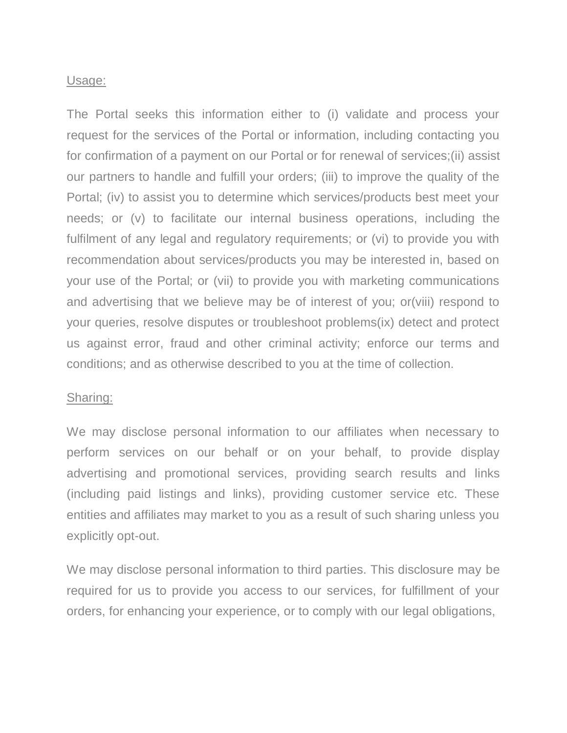#### Usage:

The Portal seeks this information either to (i) validate and process your request for the services of the Portal or information, including contacting you for confirmation of a payment on our Portal or for renewal of services;(ii) assist our partners to handle and fulfill your orders; (iii) to improve the quality of the Portal; (iv) to assist you to determine which services/products best meet your needs; or (v) to facilitate our internal business operations, including the fulfilment of any legal and regulatory requirements; or (vi) to provide you with recommendation about services/products you may be interested in, based on your use of the Portal; or (vii) to provide you with marketing communications and advertising that we believe may be of interest of you; or(viii) respond to your queries, resolve disputes or troubleshoot problems(ix) detect and protect us against error, fraud and other criminal activity; enforce our terms and conditions; and as otherwise described to you at the time of collection.

#### Sharing:

We may disclose personal information to our affiliates when necessary to perform services on our behalf or on your behalf, to provide display advertising and promotional services, providing search results and links (including paid listings and links), providing customer service etc. These entities and affiliates may market to you as a result of such sharing unless you explicitly opt-out.

We may disclose personal information to third parties. This disclosure may be required for us to provide you access to our services, for fulfillment of your orders, for enhancing your experience, or to comply with our legal obligations,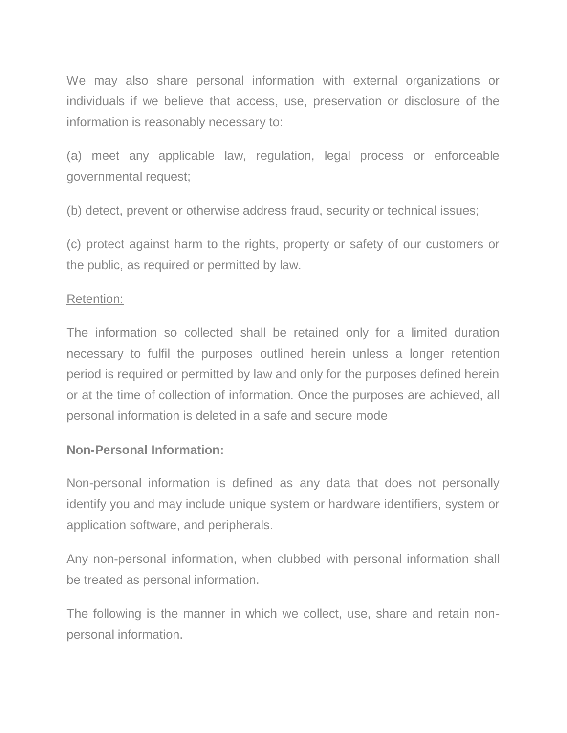We may also share personal information with external organizations or individuals if we believe that access, use, preservation or disclosure of the information is reasonably necessary to:

(a) meet any applicable law, regulation, legal process or enforceable governmental request;

(b) detect, prevent or otherwise address fraud, security or technical issues;

(c) protect against harm to the rights, property or safety of our customers or the public, as required or permitted by law.

## Retention:

The information so collected shall be retained only for a limited duration necessary to fulfil the purposes outlined herein unless a longer retention period is required or permitted by law and only for the purposes defined herein or at the time of collection of information. Once the purposes are achieved, all personal information is deleted in a safe and secure mode

## **Non-Personal Information:**

Non-personal information is defined as any data that does not personally identify you and may include unique system or hardware identifiers, system or application software, and peripherals.

Any non-personal information, when clubbed with personal information shall be treated as personal information.

The following is the manner in which we collect, use, share and retain nonpersonal information.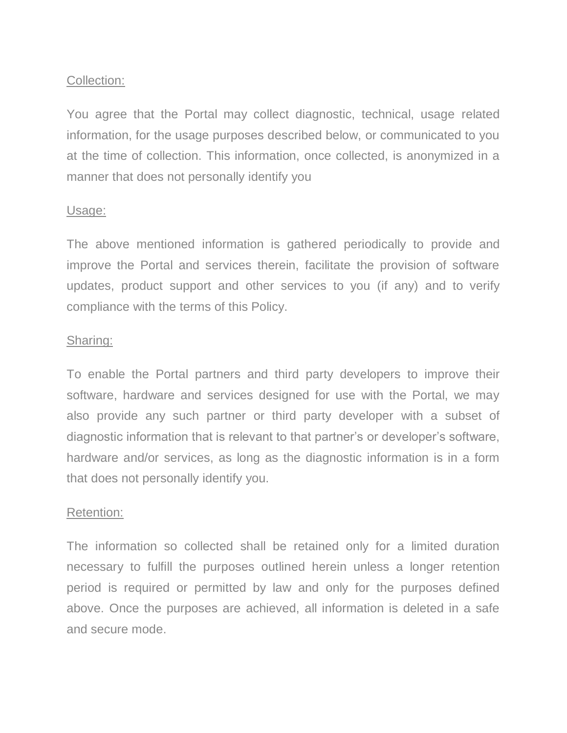## Collection:

You agree that the Portal may collect diagnostic, technical, usage related information, for the usage purposes described below, or communicated to you at the time of collection. This information, once collected, is anonymized in a manner that does not personally identify you

#### Usage:

The above mentioned information is gathered periodically to provide and improve the Portal and services therein, facilitate the provision of software updates, product support and other services to you (if any) and to verify compliance with the terms of this Policy.

#### Sharing:

To enable the Portal partners and third party developers to improve their software, hardware and services designed for use with the Portal, we may also provide any such partner or third party developer with a subset of diagnostic information that is relevant to that partner's or developer's software, hardware and/or services, as long as the diagnostic information is in a form that does not personally identify you.

#### Retention:

The information so collected shall be retained only for a limited duration necessary to fulfill the purposes outlined herein unless a longer retention period is required or permitted by law and only for the purposes defined above. Once the purposes are achieved, all information is deleted in a safe and secure mode.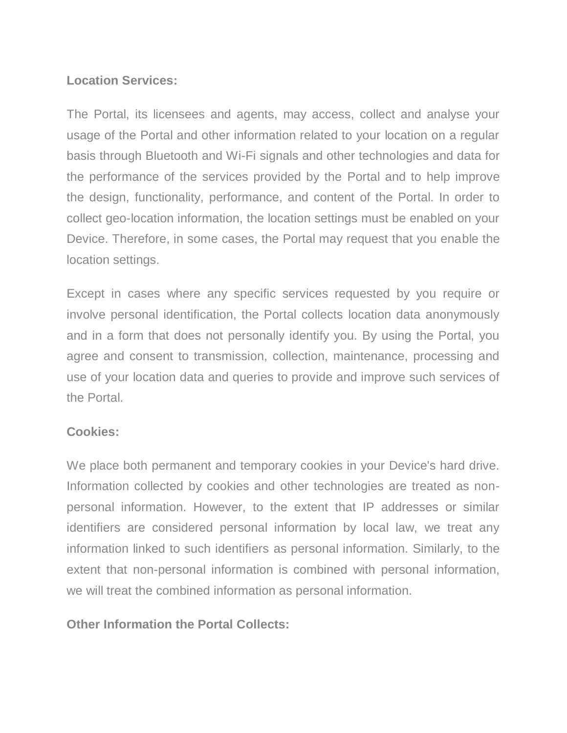## **Location Services:**

The Portal, its licensees and agents, may access, collect and analyse your usage of the Portal and other information related to your location on a regular basis through Bluetooth and Wi-Fi signals and other technologies and data for the performance of the services provided by the Portal and to help improve the design, functionality, performance, and content of the Portal. In order to collect geo-location information, the location settings must be enabled on your Device. Therefore, in some cases, the Portal may request that you enable the location settings.

Except in cases where any specific services requested by you require or involve personal identification, the Portal collects location data anonymously and in a form that does not personally identify you. By using the Portal, you agree and consent to transmission, collection, maintenance, processing and use of your location data and queries to provide and improve such services of the Portal.

## **Cookies:**

We place both permanent and temporary cookies in your Device's hard drive. Information collected by cookies and other technologies are treated as nonpersonal information. However, to the extent that IP addresses or similar identifiers are considered personal information by local law, we treat any information linked to such identifiers as personal information. Similarly, to the extent that non-personal information is combined with personal information, we will treat the combined information as personal information.

**Other Information the Portal Collects:**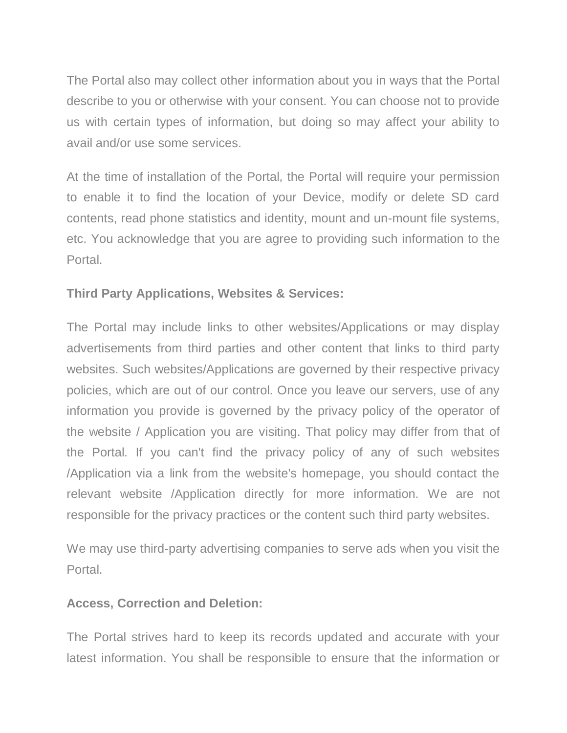The Portal also may collect other information about you in ways that the Portal describe to you or otherwise with your consent. You can choose not to provide us with certain types of information, but doing so may affect your ability to avail and/or use some services.

At the time of installation of the Portal, the Portal will require your permission to enable it to find the location of your Device, modify or delete SD card contents, read phone statistics and identity, mount and un-mount file systems, etc. You acknowledge that you are agree to providing such information to the Portal.

# **Third Party Applications, Websites & Services:**

The Portal may include links to other websites/Applications or may display advertisements from third parties and other content that links to third party websites. Such websites/Applications are governed by their respective privacy policies, which are out of our control. Once you leave our servers, use of any information you provide is governed by the privacy policy of the operator of the website / Application you are visiting. That policy may differ from that of the Portal. If you can't find the privacy policy of any of such websites /Application via a link from the website's homepage, you should contact the relevant website /Application directly for more information. We are not responsible for the privacy practices or the content such third party websites.

We may use third-party advertising companies to serve ads when you visit the **Portal** 

## **Access, Correction and Deletion:**

The Portal strives hard to keep its records updated and accurate with your latest information. You shall be responsible to ensure that the information or